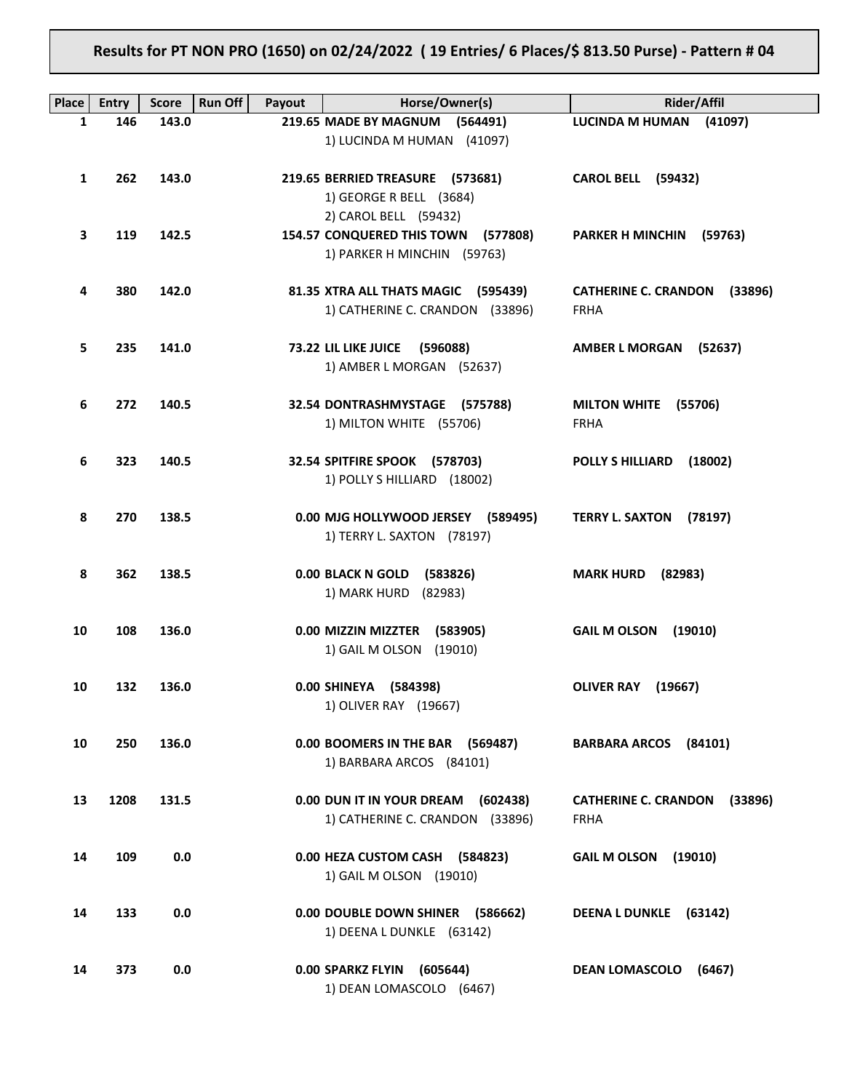# **Results for PT NON PRO (1650) on 02/24/2022 ( 19 Entries/ 6 Places/\$ 813.50 Purse) - Pattern # 04**

| Place | <b>Entry</b> | <b>Run Off</b><br><b>Score</b> | Payout | Horse/Owner(s)                                                         | <b>Rider/Affil</b>                          |
|-------|--------------|--------------------------------|--------|------------------------------------------------------------------------|---------------------------------------------|
| 1     | 146          | 143.0                          |        | 219.65 MADE BY MAGNUM (564491)                                         | LUCINDA M HUMAN (41097)                     |
|       |              |                                |        | 1) LUCINDA M HUMAN (41097)                                             |                                             |
|       |              |                                |        |                                                                        |                                             |
| 1     | 262          | 143.0                          |        | 219.65 BERRIED TREASURE (573681)<br>1) GEORGE R BELL (3684)            | <b>CAROL BELL (59432)</b>                   |
|       |              |                                |        | 2) CAROL BELL (59432)                                                  |                                             |
| 3     | 119          | 142.5                          |        | 154.57 CONQUERED THIS TOWN (577808)                                    | <b>PARKER H MINCHIN</b><br>(59763)          |
|       |              |                                |        | 1) PARKER H MINCHIN (59763)                                            |                                             |
|       |              |                                |        |                                                                        |                                             |
| 4     | 380          | 142.0                          |        | 81.35 XTRA ALL THATS MAGIC (595439)<br>1) CATHERINE C. CRANDON (33896) | CATHERINE C. CRANDON (33896)<br><b>FRHA</b> |
|       |              |                                |        |                                                                        |                                             |
| 5.    | 235          | 141.0                          |        | 73.22 LIL LIKE JUICE<br>(596088)                                       | AMBER L MORGAN (52637)                      |
|       |              |                                |        | 1) AMBER L MORGAN (52637)                                              |                                             |
|       |              |                                |        |                                                                        |                                             |
| 6     | 272          | 140.5                          |        | 32.54 DONTRASHMYSTAGE (575788)<br>1) MILTON WHITE (55706)              | MILTON WHITE (55706)<br><b>FRHA</b>         |
|       |              |                                |        |                                                                        |                                             |
| 6     | 323          | 140.5                          |        | 32.54 SPITFIRE SPOOK (578703)                                          | <b>POLLY S HILLIARD</b><br>(18002)          |
|       |              |                                |        | 1) POLLY S HILLIARD (18002)                                            |                                             |
| 8     | 270          | 138.5                          |        | 0.00 MJG HOLLYWOOD JERSEY (589495)                                     |                                             |
|       |              |                                |        | 1) TERRY L. SAXTON (78197)                                             | <b>TERRY L. SAXTON</b><br>(78197)           |
|       |              |                                |        |                                                                        |                                             |
| 8     | 362          | 138.5                          |        | 0.00 BLACK N GOLD<br>(583826)                                          | <b>MARK HURD</b><br>(82983)                 |
|       |              |                                |        | 1) MARK HURD (82983)                                                   |                                             |
| 10    | 108          | 136.0                          |        | 0.00 MIZZIN MIZZTER (583905)                                           | GAIL M OLSON (19010)                        |
|       |              |                                |        | 1) GAIL M OLSON (19010)                                                |                                             |
|       |              |                                |        |                                                                        |                                             |
| 10    | 132          | 136.0                          |        | 0.00 SHINEYA (584398)                                                  | OLIVER RAY (19667)                          |
|       |              |                                |        | 1) OLIVER RAY (19667)                                                  |                                             |
| 10    | 250          | 136.0                          |        | 0.00 BOOMERS IN THE BAR (569487)                                       | BARBARA ARCOS (84101)                       |
|       |              |                                |        | 1) BARBARA ARCOS (84101)                                               |                                             |
|       |              |                                |        |                                                                        |                                             |
| 13    | 1208         | 131.5                          |        | 0.00 DUN IT IN YOUR DREAM<br>(602438)                                  | <b>CATHERINE C. CRANDON</b><br>(33896)      |
|       |              |                                |        | 1) CATHERINE C. CRANDON (33896)                                        | <b>FRHA</b>                                 |
| 14    | 109          | 0.0                            |        | 0.00 HEZA CUSTOM CASH (584823)                                         | <b>GAIL M OLSON</b><br>(19010)              |
|       |              |                                |        | 1) GAIL M OLSON (19010)                                                |                                             |
|       |              |                                |        |                                                                        |                                             |
| 14    | 133          | 0.0                            |        | 0.00 DOUBLE DOWN SHINER (586662)<br>1) DEENA L DUNKLE (63142)          | DEENA L DUNKLE (63142)                      |
|       |              |                                |        |                                                                        |                                             |
| 14    | 373          | 0.0                            |        | 0.00 SPARKZ FLYIN<br>(605644)                                          | <b>DEAN LOMASCOLO</b><br>(6467)             |
|       |              |                                |        | 1) DEAN LOMASCOLO (6467)                                               |                                             |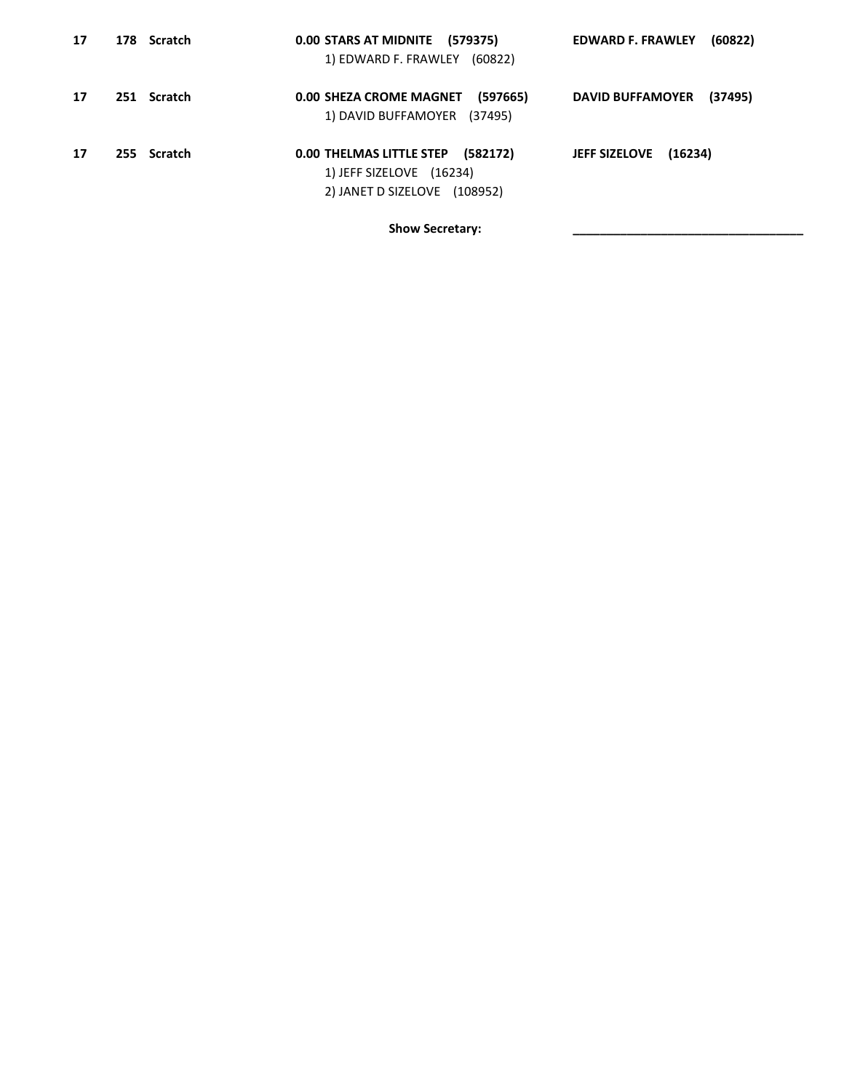| 17 | 178 Scratch | 0.00 STARS AT MIDNITE (579375)<br>1) EDWARD F. FRAWLEY (60822)                                          | <b>EDWARD F. FRAWLEY</b><br>(60822) |
|----|-------------|---------------------------------------------------------------------------------------------------------|-------------------------------------|
| 17 | 251 Scratch | (597665)<br><b>0.00 SHEZA CROME MAGNET</b><br>1) DAVID BUFFAMOYER<br>(37495)                            | (37495)<br><b>DAVID BUFFAMOYER</b>  |
| 17 | 255 Scratch | (582172)<br><b>0.00 THELMAS LITTLE STEP</b><br>1) JEFF SIZELOVE (16234)<br>2) JANET D SIZELOVE (108952) | <b>JEFF SIZELOVE</b><br>(16234)     |

Show Secretary: